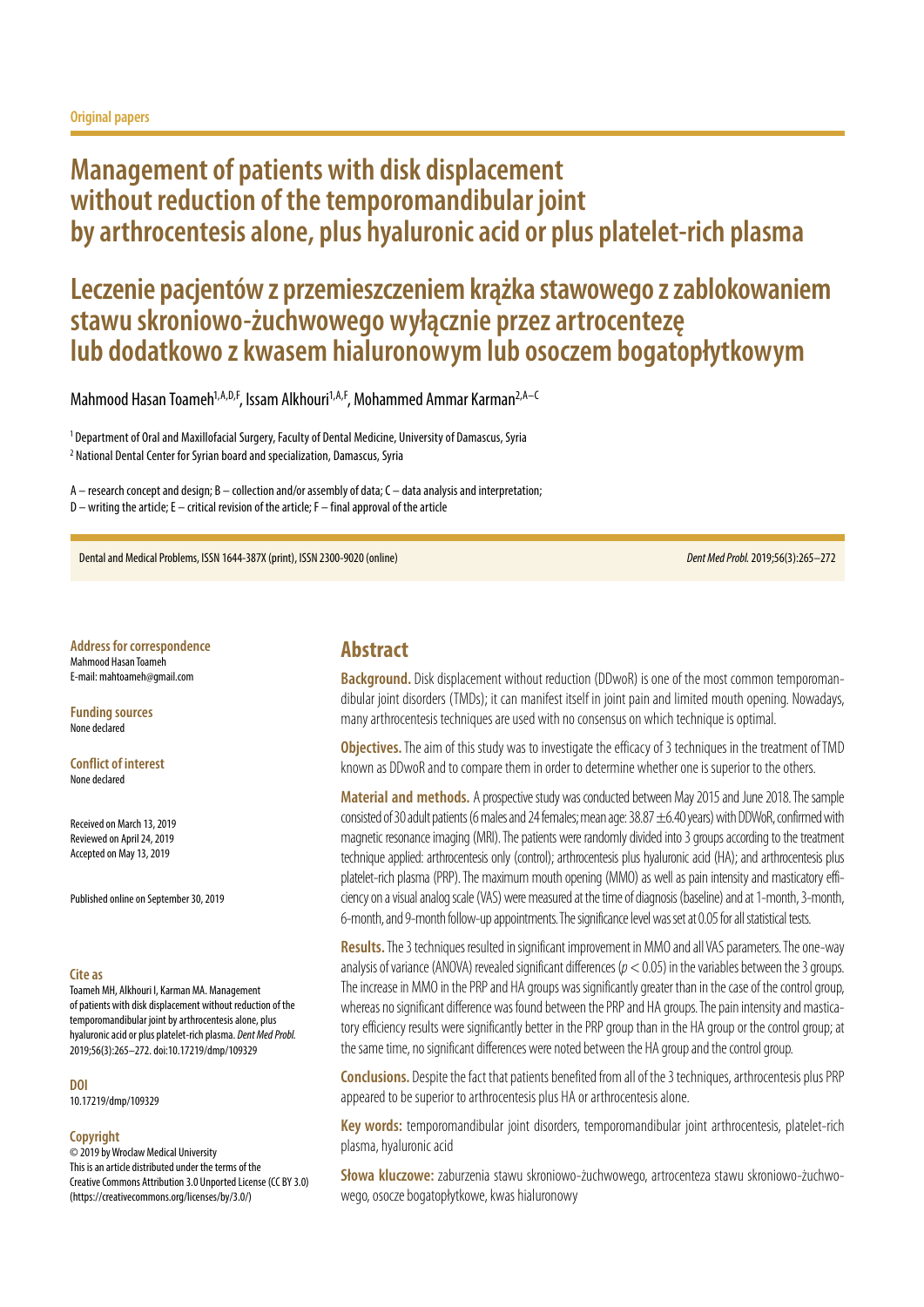# **Management of patients with disk displacement without reduction of the temporomandibular joint by arthrocentesis alone, plus hyaluronic acid or plus platelet-rich plasma**

# **Leczenie pacjentów z przemieszczeniem krążka stawowego z zablokowaniem stawu skroniowo-żuchwowego wyłącznie przez artrocentezę lub dodatkowo z kwasem hialuronowym lub osoczem bogatopłytkowym**

Mahmood Hasan Toameh<sup>1,A,D,F</sup>, Issam Alkhouri<sup>1,A,F</sup>, Mohammed Ammar Karman<sup>2,A-C</sup>

1 Department of Oral and Maxillofacial Surgery, Faculty of Dental Medicine, University of Damascus, Syria 2 National Dental Center for Syrian board and specialization, Damascus, Syria

A – research concept and design; B – collection and/or assembly of data; C – data analysis and interpretation; D – writing the article; E – critical revision of the article; F – final approval of the article

Dental and Medical Problems, ISSN 1644-387X (print), ISSN 2300-9020 (online) *Dent Med Probl.* 2019;56(3):265–272

**Address for correspondence** Mahmood Hasan Toameh E-mail: mahtoameh@gmail.com

**Funding sources** None declared

**Conflict of interest** None declared

Received on March 13, 2019 Reviewed on April 24, 2019 Accepted on May 13, 2019

Published online on September 30, 2019

#### **Cite as**

Toameh MH, Alkhouri I, Karman MA. Management of patients with disk displacement without reduction of the temporomandibular joint by arthrocentesis alone, plus hyaluronic acid or plus platelet-rich plasma. *Dent Med Probl.* 2019;56(3):265–272. doi:10.17219/dmp/109329

**DOI**

10.17219/dmp/109329

#### **Copyright**

© 2019 by Wroclaw Medical University This is an article distributed under the terms of the Creative Commons Attribution 3.0 Unported License (CC BY 3.0) [\(https://creativecommons.org/licenses/by/3.0/\)](https://creativecommons.org/licenses/by/3.0/)

### **Abstract**

**Background.** Disk displacement without reduction (DDwoR) is one of the most common temporomandibular joint disorders (TMDs); it can manifest itself in joint pain and limited mouth opening. Nowadays, many arthrocentesis techniques are used with no consensus on which technique is optimal.

**Objectives.** The aim of this study was to investigate the efficacy of 3 techniques in the treatment of TMD known as DDwoR and to compare them in order to determine whether one is superior to the others.

**Material and methods.** A prospective study was conducted between May 2015 and June 2018. The sample consisted of 30 adult patients (6 males and 24 females; mean age:  $38.87 \pm 6.40$  years) with DDWoR, confirmed with magnetic resonance imaging (MRI). The patients were randomly divided into 3 groups according to the treatment technique applied: arthrocentesis only (control); arthrocentesis plus hyaluronic acid (HA); and arthrocentesis plus platelet-rich plasma (PRP). The maximum mouth opening (MMO) as well as pain intensity and masticatory efficiency on a visual analog scale (VAS) were measured at the time of diagnosis (baseline) and at 1-month, 3-month, 6-month, and 9-month follow-up appointments. The significance level was set at 0.05 for all statistical tests.

**Results.** The 3 techniques resulted in significant improvement in MMO and all VAS parameters. The one-way analysis of variance (ANOVA) revealed significant differences (*p* < 0.05) in the variables between the 3 groups. The increase in MMO in the PRP and HA groups was significantly greater than in the case of the control group, whereas no significant difference was found between the PRP and HA groups. The pain intensity and masticatory efficiency results were significantly better in the PRP group than in the HA group or the control group; at the same time, no significant differences were noted between the HA group and the control group.

**Conclusions.** Despite the fact that patients benefited from all of the 3 techniques, arthrocentesis plus PRP appeared to be superior to arthrocentesis plus HA or arthrocentesis alone.

**Key words:** temporomandibular joint disorders, temporomandibular joint arthrocentesis, platelet-rich plasma, hyaluronic acid

**Słowa kluczowe:** zaburzenia stawu skroniowo-żuchwowego, artrocenteza stawu skroniowo-żuchwowego, osocze bogatopłytkowe, kwas hialuronowy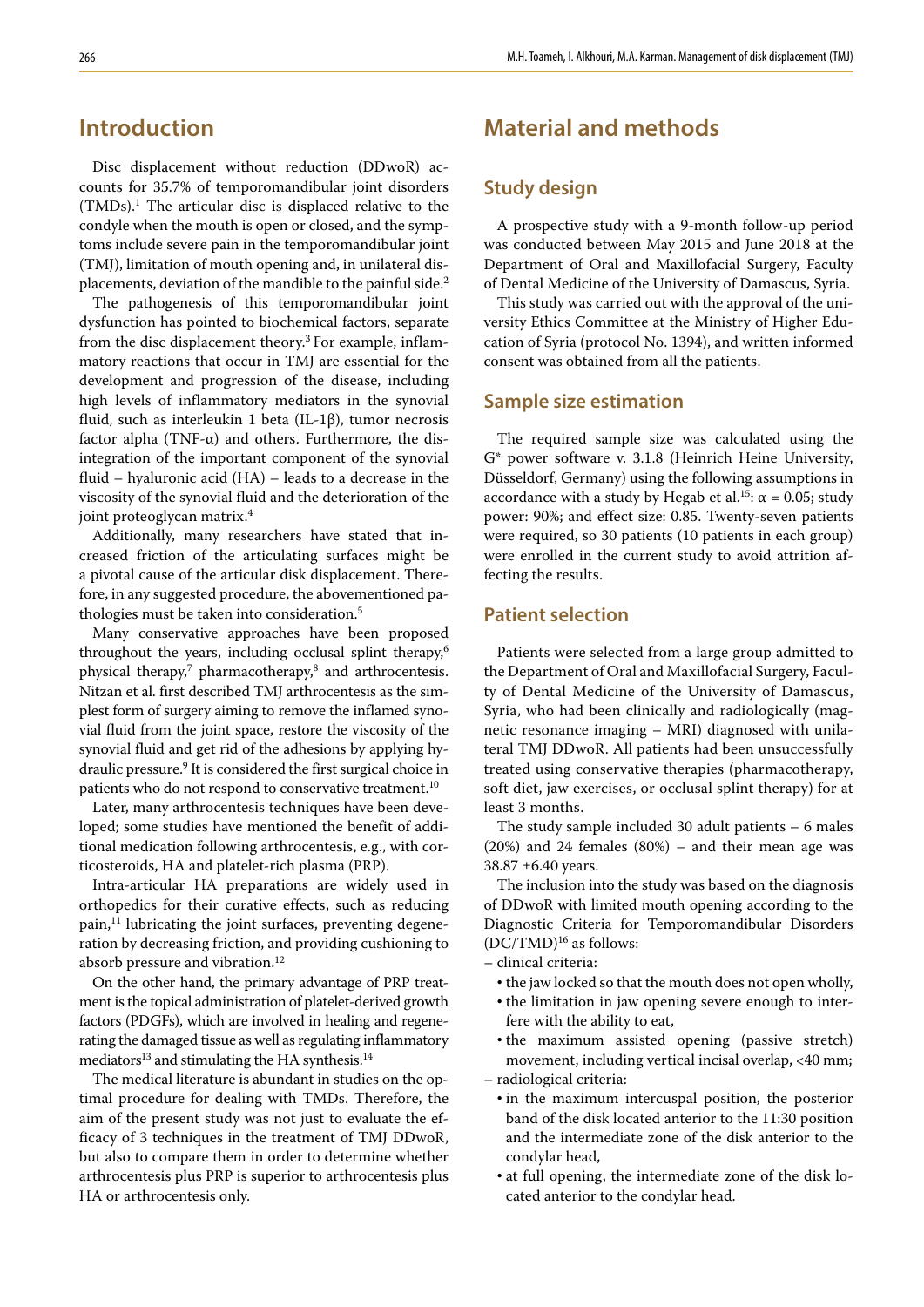# **Introduction**

Disc displacement without reduction (DDwoR) accounts for 35.7% of temporomandibular joint disorders  $(TMDs).<sup>1</sup>$  The articular disc is displaced relative to the condyle when the mouth is open or closed, and the symptoms include severe pain in the temporomandibular joint (TMJ), limitation of mouth opening and, in unilateral displacements, deviation of the mandible to the painful side.2

The pathogenesis of this temporomandibular joint dysfunction has pointed to biochemical factors, separate from the disc displacement theory.<sup>3</sup> For example, inflammatory reactions that occur in TMJ are essential for the development and progression of the disease, including high levels of inflammatory mediators in the synovial fluid, such as interleukin 1 beta (IL-1β), tumor necrosis factor alpha (TNF- $\alpha$ ) and others. Furthermore, the disintegration of the important component of the synovial fluid – hyaluronic acid (HA) – leads to a decrease in the viscosity of the synovial fluid and the deterioration of the joint proteoglycan matrix.<sup>4</sup>

Additionally, many researchers have stated that increased friction of the articulating surfaces might be a pivotal cause of the articular disk displacement. Therefore, in any suggested procedure, the abovementioned pathologies must be taken into consideration.5

Many conservative approaches have been proposed throughout the years, including occlusal splint therapy,<sup>6</sup> physical therapy,<sup>7</sup> pharmacotherapy,<sup>8</sup> and arthrocentesis. Nitzan et al. first described TMJ arthrocentesis as the simplest form of surgery aiming to remove the inflamed synovial fluid from the joint space, restore the viscosity of the synovial fluid and get rid of the adhesions by applying hydraulic pressure.9 It is considered the first surgical choice in patients who do not respond to conservative treatment.<sup>10</sup>

Later, many arthrocentesis techniques have been developed; some studies have mentioned the benefit of additional medication following arthrocentesis, e.g., with corticosteroids, HA and platelet-rich plasma (PRP).

Intra-articular HA preparations are widely used in orthopedics for their curative effects, such as reducing pain,<sup>11</sup> lubricating the joint surfaces, preventing degeneration by decreasing friction, and providing cushioning to absorb pressure and vibration.<sup>12</sup>

On the other hand, the primary advantage of PRP treatment is the topical administration of platelet-derived growth factors (PDGFs), which are involved in healing and regenerating the damaged tissue as well as regulating inflammatory mediators<sup>13</sup> and stimulating the HA synthesis.<sup>14</sup>

The medical literature is abundant in studies on the optimal procedure for dealing with TMDs. Therefore, the aim of the present study was not just to evaluate the efficacy of 3 techniques in the treatment of TMJ DDwoR, but also to compare them in order to determine whether arthrocentesis plus PRP is superior to arthrocentesis plus HA or arthrocentesis only.

# **Material and methods**

### **Study design**

A prospective study with a 9-month follow-up period was conducted between May 2015 and June 2018 at the Department of Oral and Maxillofacial Surgery, Faculty of Dental Medicine of the University of Damascus, Syria.

This study was carried out with the approval of the university Ethics Committee at the Ministry of Higher Education of Syria (protocol No. 1394), and written informed consent was obtained from all the patients.

### **Sample size estimation**

The required sample size was calculated using the G\* power software v. 3.1.8 (Heinrich Heine University, Düsseldorf, Germany) using the following assumptions in accordance with a study by Hegab et al.<sup>15</sup>:  $\alpha$  = 0.05; study power: 90%; and effect size: 0.85. Twenty-seven patients were required, so 30 patients (10 patients in each group) were enrolled in the current study to avoid attrition affecting the results.

### **Patient selection**

Patients were selected from a large group admitted to the Department of Oral and Maxillofacial Surgery, Faculty of Dental Medicine of the University of Damascus, Syria, who had been clinically and radiologically (magnetic resonance imaging – MRI) diagnosed with unilateral TMJ DDwoR. All patients had been unsuccessfully treated using conservative therapies (pharmacotherapy, soft diet, jaw exercises, or occlusal splint therapy) for at least 3 months.

The study sample included 30 adult patients – 6 males (20%) and 24 females (80%) – and their mean age was 38.87 ±6.40 years.

The inclusion into the study was based on the diagnosis of DDwoR with limited mouth opening according to the Diagnostic Criteria for Temporomandibular Disorders  $(DC/TMD)^{16}$  as follows:

- clinical criteria:
	- the jaw locked so that the mouth does not open wholly,
	- the limitation in jaw opening severe enough to interfere with the ability to eat,
- the maximum assisted opening (passive stretch) movement, including vertical incisal overlap, <40 mm; – radiological criteria:
	- in the maximum intercuspal position, the posterior band of the disk located anterior to the 11:30 position and the intermediate zone of the disk anterior to the condylar head,
	- at full opening, the intermediate zone of the disk located anterior to the condylar head.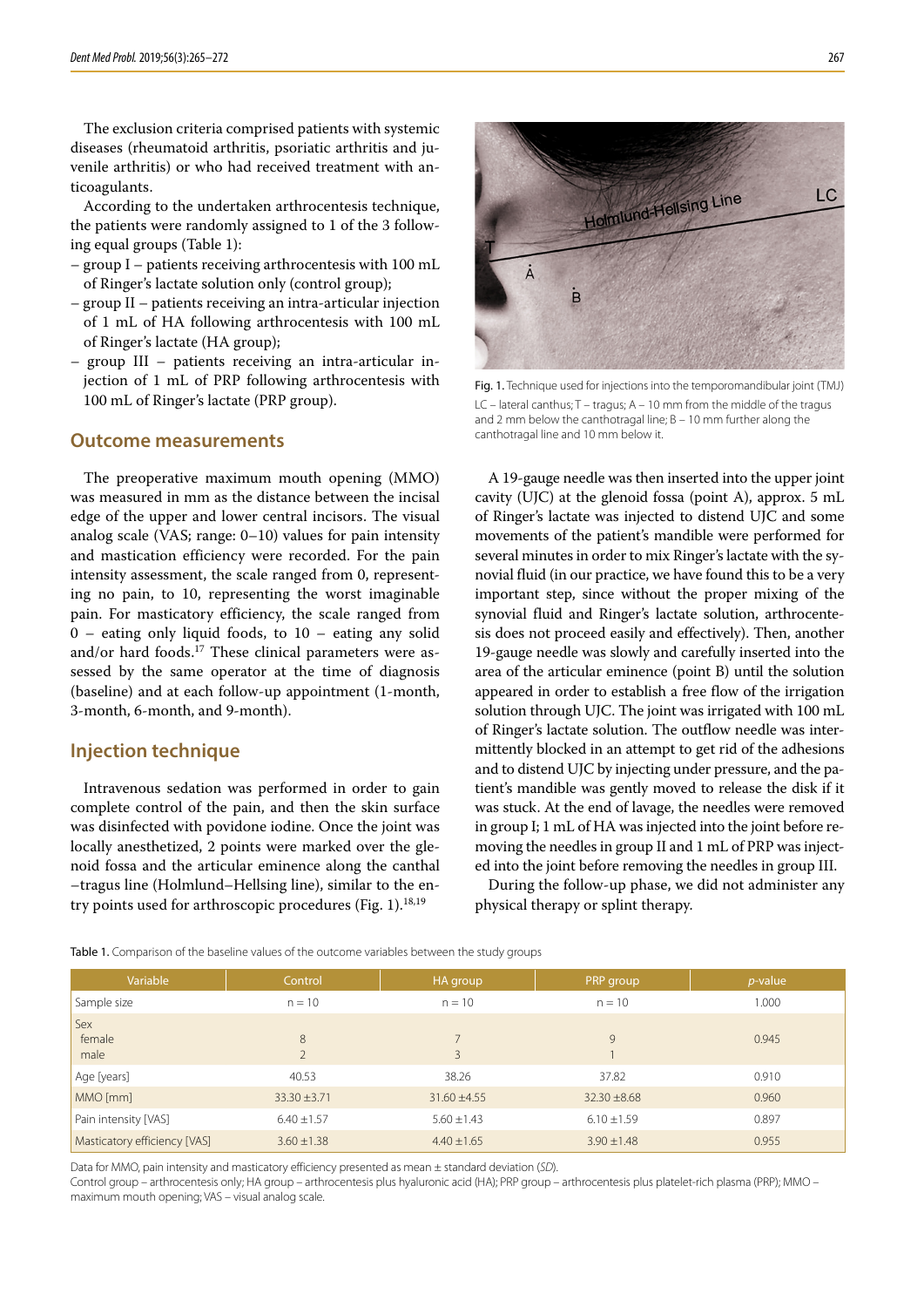The exclusion criteria comprised patients with systemic diseases (rheumatoid arthritis, psoriatic arthritis and juvenile arthritis) or who had received treatment with anticoagulants.

According to the undertaken arthrocentesis technique, the patients were randomly assigned to 1 of the 3 following equal groups (Table 1):

- group I patients receiving arthrocentesis with 100 mL of Ringer's lactate solution only (control group);
- group II patients receiving an intra-articular injection of 1 mL of HA following arthrocentesis with 100 mL of Ringer's lactate (HA group);
- group III patients receiving an intra-articular injection of 1 mL of PRP following arthrocentesis with 100 mL of Ringer's lactate (PRP group).

#### **Outcome measurements**

The preoperative maximum mouth opening (MMO) was measured in mm as the distance between the incisal edge of the upper and lower central incisors. The visual analog scale (VAS; range: 0–10) values for pain intensity and mastication efficiency were recorded. For the pain intensity assessment, the scale ranged from 0, representing no pain, to 10, representing the worst imaginable pain. For masticatory efficiency, the scale ranged from 0 – eating only liquid foods, to 10 – eating any solid and/or hard foods.<sup>17</sup> These clinical parameters were assessed by the same operator at the time of diagnosis (baseline) and at each follow-up appointment (1-month, 3-month, 6-month, and 9-month).

#### **Injection technique**

Intravenous sedation was performed in order to gain complete control of the pain, and then the skin surface was disinfected with povidone iodine. Once the joint was locally anesthetized, 2 points were marked over the glenoid fossa and the articular eminence along the canthal –tragus line (Holmlund–Hellsing line), similar to the entry points used for arthroscopic procedures (Fig. 1).<sup>18,19</sup>



Fig. 1. Technique used for injections into the temporomandibular joint (TMJ) LC – lateral canthus; T – tragus; A – 10 mm from the middle of the tragus and 2 mm below the canthotragal line;  $B = 10$  mm further along the canthotragal line and 10 mm below it.

A 19-gauge needle was then inserted into the upper joint cavity (UJC) at the glenoid fossa (point A), approx. 5 mL of Ringer's lactate was injected to distend UJC and some movements of the patient's mandible were performed for several minutes in order to mix Ringer's lactate with the synovial fluid (in our practice, we have found this to be a very important step, since without the proper mixing of the synovial fluid and Ringer's lactate solution, arthrocentesis does not proceed easily and effectively). Then, another 19-gauge needle was slowly and carefully inserted into the area of the articular eminence (point B) until the solution appeared in order to establish a free flow of the irrigation solution through UJC. The joint was irrigated with 100 mL of Ringer's lactate solution. The outflow needle was intermittently blocked in an attempt to get rid of the adhesions and to distend UJC by injecting under pressure, and the patient's mandible was gently moved to release the disk if it was stuck. At the end of lavage, the needles were removed in group I; 1 mL of HA was injected into the joint before removing the needles in group II and 1 mL of PRP was injected into the joint before removing the needles in group III.

During the follow-up phase, we did not administer any physical therapy or splint therapy.

Table 1. Comparison of the baseline values of the outcome variables between the study groups

| Variable                     | Control             | HA group         | PRP group        | $p$ -value |
|------------------------------|---------------------|------------------|------------------|------------|
| Sample size                  | $n = 10$            | $n = 10$         | $n = 10$         | 1.000      |
| Sex<br>female<br>male        | 8<br>$\overline{2}$ | 3                | 9                | 0.945      |
| Age [years]                  | 40.53               | 38.26            | 37.82            | 0.910      |
| MMO [mm]                     | $33.30 \pm 3.71$    | $31.60 \pm 4.55$ | $32.30 \pm 8.68$ | 0.960      |
| Pain intensity [VAS]         | $6.40 \pm 1.57$     | $5.60 \pm 1.43$  | $6.10 \pm 1.59$  | 0.897      |
| Masticatory efficiency [VAS] | $3.60 \pm 1.38$     | $4.40 \pm 1.65$  | $3.90 \pm 1.48$  | 0.955      |

Data for MMO, pain intensity and masticatory efficiency presented as mean ± standard deviation (*SD*).

Control group – arthrocentesis only; HA group – arthrocentesis plus hyaluronic acid (HA); PRP group – arthrocentesis plus platelet-rich plasma (PRP); MMO – maximum mouth opening; VAS – visual analog scale.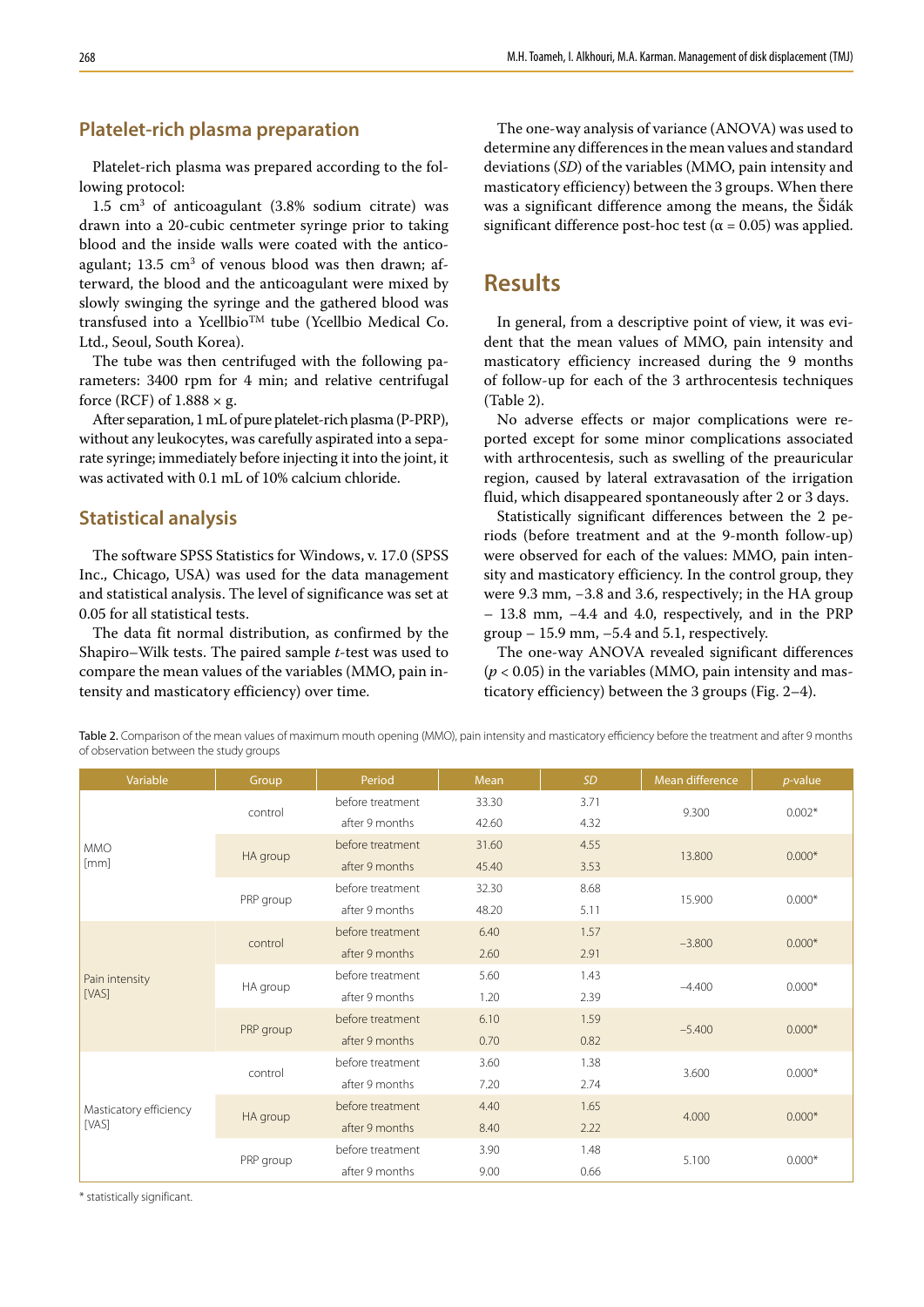### **Platelet-rich plasma preparation**

Platelet-rich plasma was prepared according to the following protocol:

 $1.5 \text{ cm}^3$  of anticoagulant (3.8% sodium citrate) was drawn into a 20-cubic centmeter syringe prior to taking blood and the inside walls were coated with the anticoagulant; 13.5 cm<sup>3</sup> of venous blood was then drawn; afterward, the blood and the anticoagulant were mixed by slowly swinging the syringe and the gathered blood was transfused into a  $Ycellbio^{TM}$  tube (Ycellbio Medical Co. Ltd., Seoul, South Korea).

The tube was then centrifuged with the following parameters: 3400 rpm for 4 min; and relative centrifugal force (RCF) of  $1.888 \times g$ .

After separation, 1 mL of pure platelet-rich plasma (P-PRP), without any leukocytes, was carefully aspirated into a separate syringe; immediately before injecting it into the joint, it was activated with 0.1 mL of 10% calcium chloride.

### **Statistical analysis**

The software SPSS Statistics for Windows, v. 17.0 (SPSS Inc., Chicago, USA) was used for the data management and statistical analysis. The level of significance was set at 0.05 for all statistical tests.

The data fit normal distribution, as confirmed by the Shapiro–Wilk tests. The paired sample *t*-test was used to compare the mean values of the variables (MMO, pain intensity and masticatory efficiency) over time.

The one-way analysis of variance (ANOVA) was used to determine any differences in the mean values and standard deviations (*SD*) of the variables (MMO, pain intensity and masticatory efficiency) between the 3 groups. When there was a significant difference among the means, the Šidák significant difference post-hoc test ( $\alpha$  = 0.05) was applied.

### **Results**

In general, from a descriptive point of view, it was evident that the mean values of MMO, pain intensity and masticatory efficiency increased during the 9 months of follow-up for each of the 3 arthrocentesis techniques (Table 2).

No adverse effects or major complications were reported except for some minor complications associated with arthrocentesis, such as swelling of the preauricular region, caused by lateral extravasation of the irrigation fluid, which disappeared spontaneously after 2 or 3 days.

Statistically significant differences between the 2 periods (before treatment and at the 9-month follow-up) were observed for each of the values: MMO, pain intensity and masticatory efficiency. In the control group, they were 9.3 mm, −3.8 and 3.6, respectively; in the HA group – 13.8 mm, −4.4 and 4.0, respectively, and in the PRP group – 15.9 mm, –5.4 and 5.1, respectively.

The one-way ANOVA revealed significant differences  $(p < 0.05)$  in the variables (MMO, pain intensity and masticatory efficiency) between the 3 groups (Fig. 2–4).

Table 2. Comparison of the mean values of maximum mouth opening (MMO), pain intensity and masticatory efficiency before the treatment and after 9 months of observation between the study groups

| Variable                        | Group     | Period           | Mean  | <b>SD</b> | Mean difference | $p$ -value |
|---------------------------------|-----------|------------------|-------|-----------|-----------------|------------|
| <b>MMO</b><br>[mm]              | control   | before treatment | 33.30 | 3.71      |                 | $0.002*$   |
|                                 |           | after 9 months   | 42.60 | 4.32      | 9.300           |            |
|                                 | HA group  | before treatment | 31.60 | 4.55      | 13,800          | $0.000*$   |
|                                 |           | after 9 months   | 45.40 | 3.53      |                 |            |
|                                 | PRP group | before treatment | 32.30 | 8.68      | 15.900          | $0.000*$   |
|                                 |           | after 9 months   | 48.20 | 5.11      |                 |            |
| Pain intensity<br>[VAS]         | control   | before treatment | 6.40  | 1.57      |                 | $0.000*$   |
|                                 |           | after 9 months   | 2.60  | 2.91      | $-3.800$        |            |
|                                 | HA group  | before treatment | 5.60  | 1.43      | $-4.400$        | $0.000*$   |
|                                 |           | after 9 months   | 1.20  | 2.39      |                 |            |
|                                 | PRP group | before treatment | 6.10  | 1.59      | $-5.400$        | $0.000*$   |
|                                 |           | after 9 months   | 0.70  | 0.82      |                 |            |
| Masticatory efficiency<br>[VAS] | control   | before treatment | 3.60  | 1.38      | 3.600           | $0.000*$   |
|                                 |           | after 9 months   | 7.20  | 2.74      |                 |            |
|                                 | HA group  | before treatment | 4.40  | 1.65      |                 |            |
|                                 |           | after 9 months   | 8.40  | 2.22      | 4.000           | $0.000*$   |
|                                 | PRP group | before treatment | 3.90  | 1.48      | 5.100           | $0.000*$   |
|                                 |           | after 9 months   | 9.00  | 0.66      |                 |            |

\* statistically significant.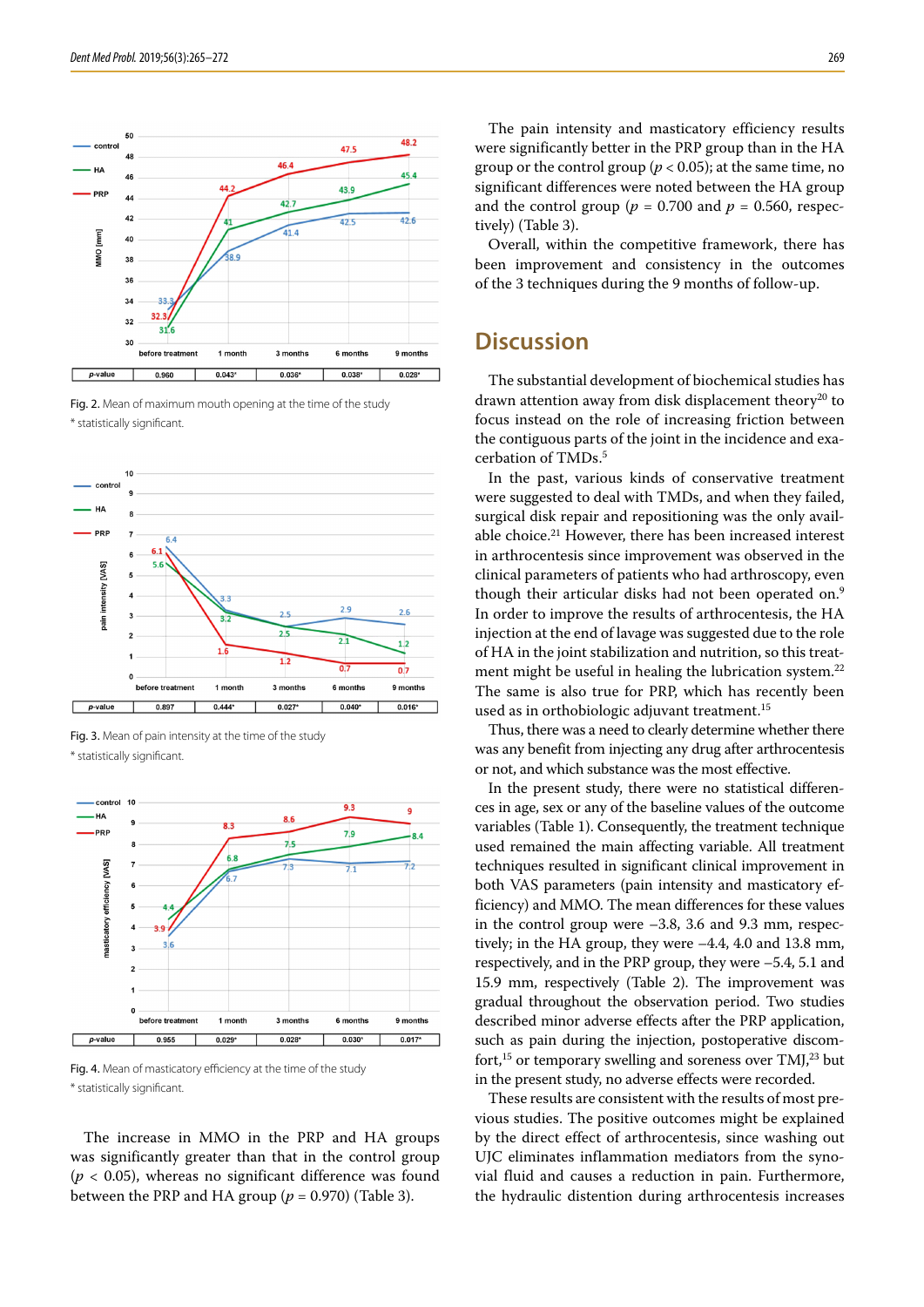

Fig. 2. Mean of maximum mouth opening at the time of the study \* statistically significant.







Fig. 4. Mean of masticatory efficiency at the time of the study \* statistically significant.

The increase in MMO in the PRP and HA groups was significantly greater than that in the control group  $(p < 0.05)$ , whereas no significant difference was found between the PRP and HA group ( $p = 0.970$ ) (Table 3).

The pain intensity and masticatory efficiency results were significantly better in the PRP group than in the HA group or the control group ( $p < 0.05$ ); at the same time, no significant differences were noted between the HA group and the control group ( $p = 0.700$  and  $p = 0.560$ , respectively) (Table 3).

Overall, within the competitive framework, there has been improvement and consistency in the outcomes of the 3 techniques during the 9 months of follow-up.

## **Discussion**

The substantial development of biochemical studies has drawn attention away from disk displacement theory<sup>20</sup> to focus instead on the role of increasing friction between the contiguous parts of the joint in the incidence and exacerbation of TMDs.5

In the past, various kinds of conservative treatment were suggested to deal with TMDs, and when they failed, surgical disk repair and repositioning was the only available choice.21 However, there has been increased interest in arthrocentesis since improvement was observed in the clinical parameters of patients who had arthroscopy, even though their articular disks had not been operated on.<sup>9</sup> In order to improve the results of arthrocentesis, the HA injection at the end of lavage was suggested due to the role of HA in the joint stabilization and nutrition, so this treatment might be useful in healing the lubrication system.<sup>22</sup> The same is also true for PRP, which has recently been used as in orthobiologic adjuvant treatment.<sup>15</sup>

Thus, there was a need to clearly determine whether there was any benefit from injecting any drug after arthrocentesis or not, and which substance was the most effective.

In the present study, there were no statistical differences in age, sex or any of the baseline values of the outcome variables (Table 1). Consequently, the treatment technique used remained the main affecting variable. All treatment techniques resulted in significant clinical improvement in both VAS parameters (pain intensity and masticatory efficiency) and MMO. The mean differences for these values in the control group were –3.8, 3.6 and 9.3 mm, respectively; in the HA group, they were –4.4, 4.0 and 13.8 mm, respectively, and in the PRP group, they were –5.4, 5.1 and 15.9 mm, respectively (Table 2). The improvement was gradual throughout the observation period. Two studies described minor adverse effects after the PRP application, such as pain during the injection, postoperative discomfort,<sup>15</sup> or temporary swelling and soreness over TMJ,<sup>23</sup> but in the present study, no adverse effects were recorded.

These results are consistent with the results of most previous studies. The positive outcomes might be explained by the direct effect of arthrocentesis, since washing out UJC eliminates inflammation mediators from the synovial fluid and causes a reduction in pain. Furthermore, the hydraulic distention during arthrocentesis increases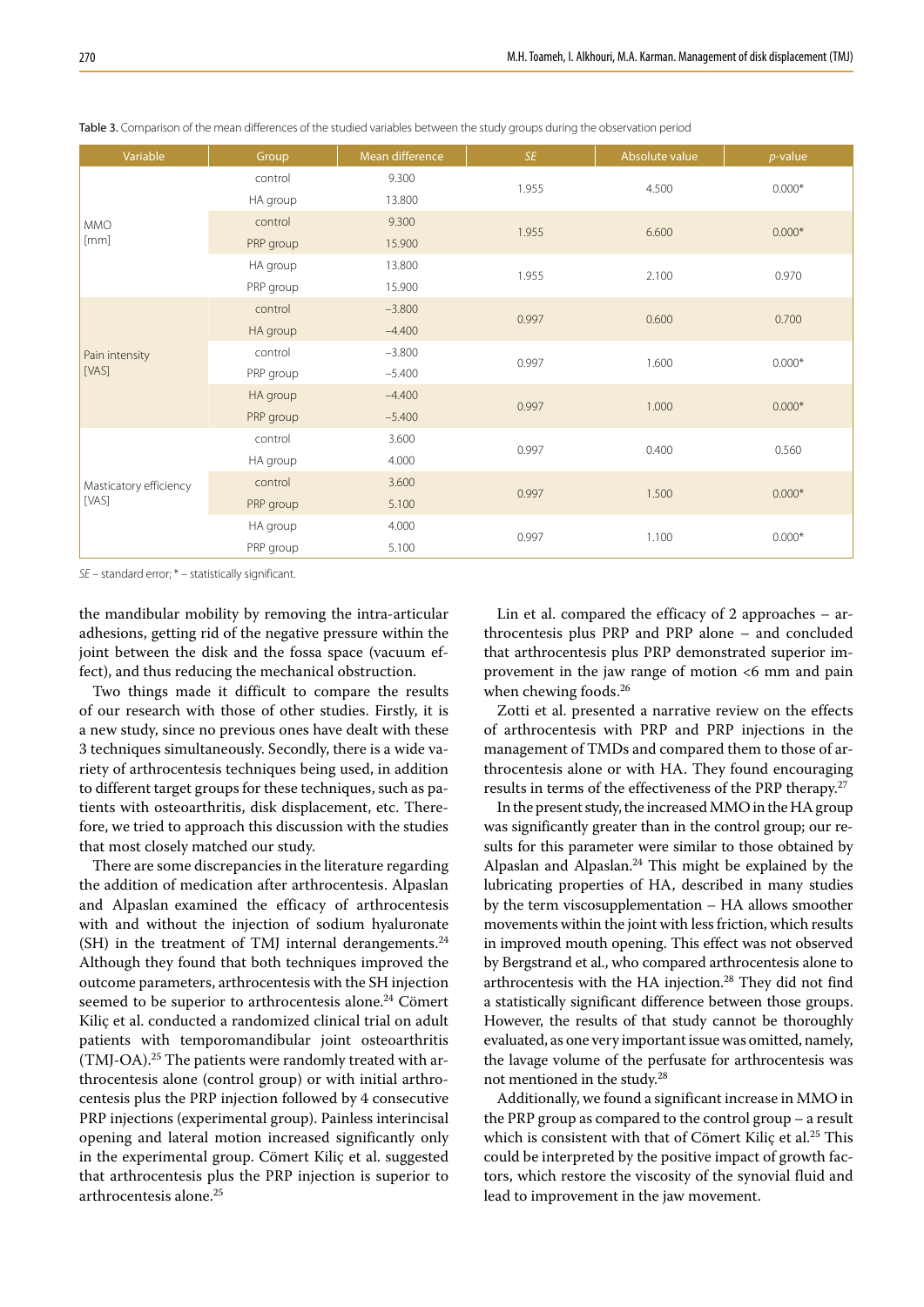| Variable                        | Group     | Mean difference | <b>SE</b> | Absolute value | $p$ -value |
|---------------------------------|-----------|-----------------|-----------|----------------|------------|
| <b>MMO</b><br>[mm]              | control   | 9.300           | 1.955     | 4.500          | $0.000*$   |
|                                 | HA group  | 13.800          |           |                |            |
|                                 | control   | 9.300           | 1.955     | 6.600          | $0.000*$   |
|                                 | PRP group | 15.900          |           |                |            |
|                                 | HA group  | 13.800          | 1.955     | 2.100          | 0.970      |
|                                 | PRP group | 15.900          |           |                |            |
| Pain intensity<br>[VAS]         | control   | $-3.800$        | 0.997     | 0.600          | 0.700      |
|                                 | HA group  | $-4.400$        |           |                |            |
|                                 | control   | $-3.800$        | 0.997     | 1.600          | $0.000*$   |
|                                 | PRP group | $-5.400$        |           |                |            |
|                                 | HA group  | $-4.400$        | 0.997     | 1.000          | $0.000*$   |
|                                 | PRP group | $-5.400$        |           |                |            |
| Masticatory efficiency<br>[VAS] | control   | 3.600           | 0.997     | 0.400          | 0.560      |
|                                 | HA group  | 4.000           |           |                |            |
|                                 | control   | 3.600           | 0.997     | 1.500          | $0.000*$   |
|                                 | PRP group | 5.100           |           |                |            |
|                                 | HA group  | 4.000           | 0.997     | 1.100          | $0.000*$   |
|                                 | PRP group | 5.100           |           |                |            |

Table 3. Comparison of the mean differences of the studied variables between the study groups during the observation period

*SE* – standard error; \* – statistically significant.

the mandibular mobility by removing the intra-articular adhesions, getting rid of the negative pressure within the joint between the disk and the fossa space (vacuum effect), and thus reducing the mechanical obstruction.

Two things made it difficult to compare the results of our research with those of other studies. Firstly, it is a new study, since no previous ones have dealt with these 3 techniques simultaneously. Secondly, there is a wide variety of arthrocentesis techniques being used, in addition to different target groups for these techniques, such as patients with osteoarthritis, disk displacement, etc. Therefore, we tried to approach this discussion with the studies that most closely matched our study.

There are some discrepancies in the literature regarding the addition of medication after arthrocentesis. Alpaslan and Alpaslan examined the efficacy of arthrocentesis with and without the injection of sodium hyaluronate (SH) in the treatment of TMJ internal derangements. $24$ Although they found that both techniques improved the outcome parameters, arthrocentesis with the SH injection seemed to be superior to arthrocentesis alone.<sup>24</sup> Cömert Kiliç et al. conducted a randomized clinical trial on adult patients with temporomandibular joint osteoarthritis (TMJ-OA).25 The patients were randomly treated with arthrocentesis alone (control group) or with initial arthrocentesis plus the PRP injection followed by 4 consecutive PRP injections (experimental group). Painless interincisal opening and lateral motion increased significantly only in the experimental group. Cömert Kiliç et al. suggested that arthrocentesis plus the PRP injection is superior to arthrocentesis alone.<sup>25</sup>

Lin et al. compared the efficacy of 2 approaches – arthrocentesis plus PRP and PRP alone – and concluded that arthrocentesis plus PRP demonstrated superior improvement in the jaw range of motion <6 mm and pain when chewing foods.<sup>26</sup>

Zotti et al. presented a narrative review on the effects of arthrocentesis with PRP and PRP injections in the management of TMDs and compared them to those of arthrocentesis alone or with HA. They found encouraging results in terms of the effectiveness of the PRP therapy.27

In the present study, the increased MMO in the HA group was significantly greater than in the control group; our results for this parameter were similar to those obtained by Alpaslan and Alpaslan.24 This might be explained by the lubricating properties of HA, described in many studies by the term viscosupplementation – HA allows smoother movements within the joint with less friction, which results in improved mouth opening. This effect was not observed by Bergstrand et al., who compared arthrocentesis alone to arthrocentesis with the HA injection.28 They did not find a statistically significant difference between those groups. However, the results of that study cannot be thoroughly evaluated, as one very important issue was omitted, namely, the lavage volume of the perfusate for arthrocentesis was not mentioned in the study.28

Additionally, we found a significant increase in MMO in the PRP group as compared to the control group – a result which is consistent with that of Cömert Kiliç et al.<sup>25</sup> This could be interpreted by the positive impact of growth factors, which restore the viscosity of the synovial fluid and lead to improvement in the jaw movement.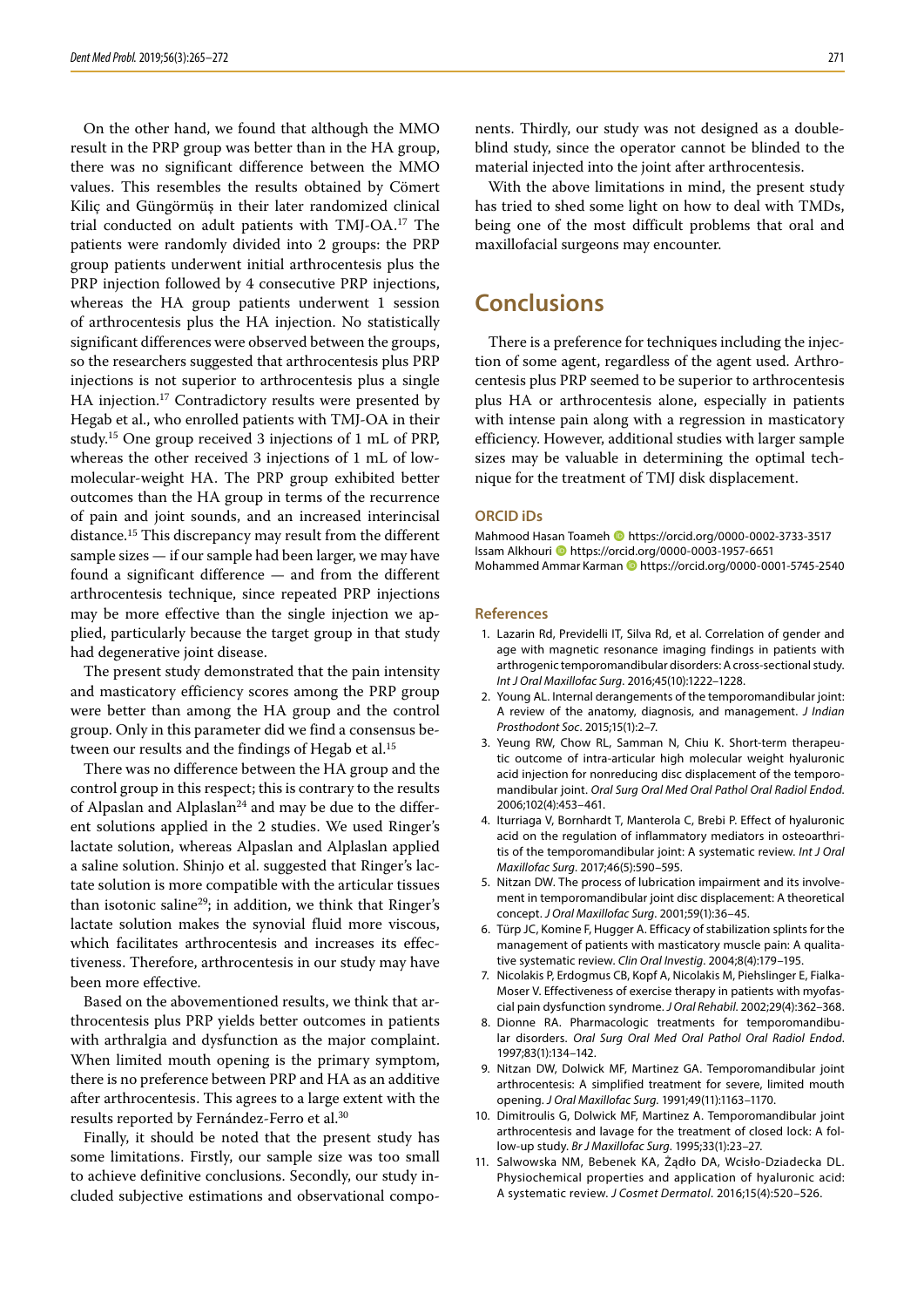On the other hand, we found that although the MMO result in the PRP group was better than in the HA group, there was no significant difference between the MMO values. This resembles the results obtained by Cömert Kiliç and Güngörmüş in their later randomized clinical trial conducted on adult patients with TMJ-OA.17 The patients were randomly divided into 2 groups: the PRP group patients underwent initial arthrocentesis plus the PRP injection followed by 4 consecutive PRP injections, whereas the HA group patients underwent 1 session of arthrocentesis plus the HA injection. No statistically significant differences were observed between the groups, so the researchers suggested that arthrocentesis plus PRP injections is not superior to arthrocentesis plus a single HA injection.<sup>17</sup> Contradictory results were presented by Hegab et al., who enrolled patients with TMJ-OA in their study.15 One group received 3 injections of 1 mL of PRP, whereas the other received 3 injections of 1 mL of lowmolecular-weight HA. The PRP group exhibited better outcomes than the HA group in terms of the recurrence of pain and joint sounds, and an increased interincisal distance.<sup>15</sup> This discrepancy may result from the different sample sizes — if our sample had been larger, we may have found a significant difference — and from the different arthrocentesis technique, since repeated PRP injections may be more effective than the single injection we applied, particularly because the target group in that study had degenerative joint disease.

The present study demonstrated that the pain intensity and masticatory efficiency scores among the PRP group were better than among the HA group and the control group. Only in this parameter did we find a consensus between our results and the findings of Hegab et al.<sup>15</sup>

There was no difference between the HA group and the control group in this respect; this is contrary to the results of Alpaslan and Alplaslan<sup>24</sup> and may be due to the different solutions applied in the 2 studies. We used Ringer's lactate solution, whereas Alpaslan and Alplaslan applied a saline solution. Shinjo et al. suggested that Ringer's lactate solution is more compatible with the articular tissues than isotonic saline<sup>29</sup>; in addition, we think that Ringer's lactate solution makes the synovial fluid more viscous, which facilitates arthrocentesis and increases its effectiveness. Therefore, arthrocentesis in our study may have been more effective.

Based on the abovementioned results, we think that arthrocentesis plus PRP yields better outcomes in patients with arthralgia and dysfunction as the major complaint. When limited mouth opening is the primary symptom, there is no preference between PRP and HA as an additive after arthrocentesis. This agrees to a large extent with the results reported by Fernández-Ferro et al.30

Finally, it should be noted that the present study has some limitations. Firstly, our sample size was too small to achieve definitive conclusions. Secondly, our study included subjective estimations and observational components. Thirdly, our study was not designed as a doubleblind study, since the operator cannot be blinded to the material injected into the joint after arthrocentesis.

With the above limitations in mind, the present study has tried to shed some light on how to deal with TMDs, being one of the most difficult problems that oral and maxillofacial surgeons may encounter.

## **Conclusions**

There is a preference for techniques including the injection of some agent, regardless of the agent used. Arthrocentesis plus PRP seemed to be superior to arthrocentesis plus HA or arthrocentesis alone, especially in patients with intense pain along with a regression in masticatory efficiency. However, additional studies with larger sample sizes may be valuable in determining the optimal technique for the treatment of TMJ disk displacement.

#### **ORCID iDs**

Mahmood Hasan Toameh **ID** <https://orcid.org/0000-0002-3733-3517> Issam Alkhouri <https://orcid.org/0000-0003-1957-6651> Mohammed Ammar Karman **ID** <https://orcid.org/0000-0001-5745-2540>

#### **References**

- 1. Lazarin Rd, Previdelli IT, Silva Rd, et al. Correlation of gender and age with magnetic resonance imaging findings in patients with arthrogenic temporomandibular disorders: A cross-sectional study. *Int J Oral Maxillofac Surg*. 2016;45(10):1222–1228.
- 2. Young AL. Internal derangements of the temporomandibular joint: A review of the anatomy, diagnosis, and management. *J Indian Prosthodont Soc*. 2015;15(1):2–7.
- 3. Yeung RW, Chow RL, Samman N, Chiu K. Short-term therapeutic outcome of intra-articular high molecular weight hyaluronic acid injection for nonreducing disc displacement of the temporomandibular joint. *Oral Surg Oral Med Oral Pathol Oral Radiol Endod*. 2006;102(4):453–461.
- 4. Iturriaga V, Bornhardt T, Manterola C, Brebi P. Effect of hyaluronic acid on the regulation of inflammatory mediators in osteoarthritis of the temporomandibular joint: A systematic review. *Int J Oral Maxillofac Surg*. 2017;46(5):590–595.
- 5. Nitzan DW. The process of lubrication impairment and its involvement in temporomandibular joint disc displacement: A theoretical concept. *J Oral Maxillofac Surg*. 2001;59(1):36–45.
- 6. Türp JC, Komine F, Hugger A. Efficacy of stabilization splints for the management of patients with masticatory muscle pain: A qualitative systematic review. *Clin Oral Investig*. 2004;8(4):179–195.
- 7. Nicolakis P, Erdogmus CB, Kopf A, Nicolakis M, Piehslinger E, Fialka-Moser V. Effectiveness of exercise therapy in patients with myofascial pain dysfunction syndrome. *J Oral Rehabil*. 2002;29(4):362–368.
- 8. Dionne RA. Pharmacologic treatments for temporomandibular disorders. *Oral Surg Oral Med Oral Pathol Oral Radiol Endod*. 1997;83(1):134–142.
- 9. Nitzan DW, Dolwick MF, Martinez GA. Temporomandibular joint arthrocentesis: A simplified treatment for severe, limited mouth opening. *J Oral Maxillofac Surg*. 1991;49(11):1163–1170.
- 10. Dimitroulis G, Dolwick MF, Martinez A. Temporomandibular joint arthrocentesis and lavage for the treatment of closed lock: A follow-up study. *Br J Maxillofac Surg*. 1995;33(1):23–27.
- 11. Salwowska NM, Bebenek KA, Żądło DA, Wcisło-Dziadecka DL. Physiochemical properties and application of hyaluronic acid: A systematic review. *J Cosmet Dermatol*. 2016;15(4):520–526.